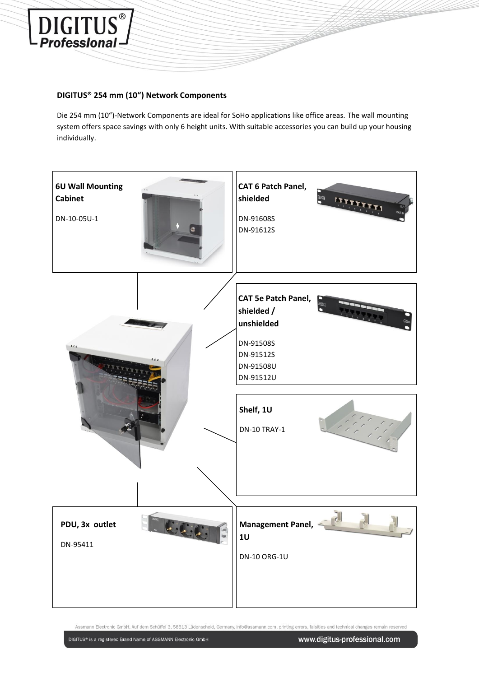

## **DIGITUS® 254 mm (10") Network Components**

Die 254 mm (10")-Network Components are ideal for SoHo applications like office areas. The wall mounting system offers space savings with only 6 height units. With suitable accessories you can build up your housing individually.

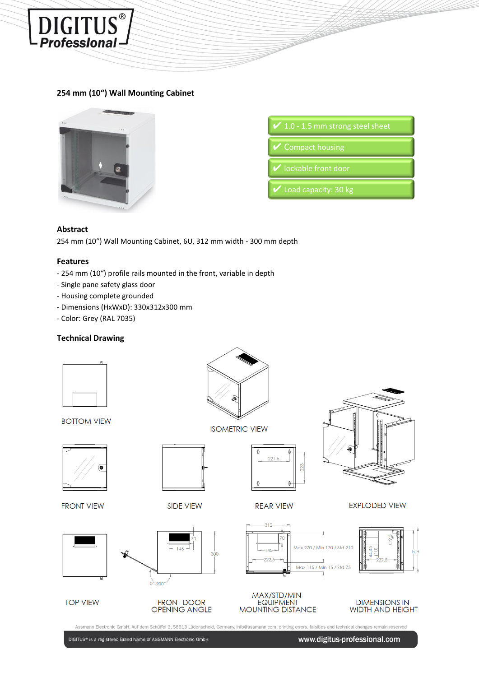

## **254 mm (10") Wall Mounting Cabinet**



| $\swarrow$ 1.0 - 1.5 mm strong steel sheet |
|--------------------------------------------|
| Compact housing                            |
| V lockable front door                      |
| Load capacity: 30 kg                       |

## **Abstract**

254 mm (10") Wall Mounting Cabinet, 6U, 312 mm width - 300 mm depth

## **Features**

- 254 mm (10") profile rails mounted in the front, variable in depth
- Single pane safety glass door
- Housing complete grounded
- Dimensions (HxWxD): 330x312x300 mm
- Color: Grey (RAL 7035)

## **Technical Drawing**



DIGITUS® is a registered Brand Name of ASSMANN Electronic GmbH

www.digitus-professional.com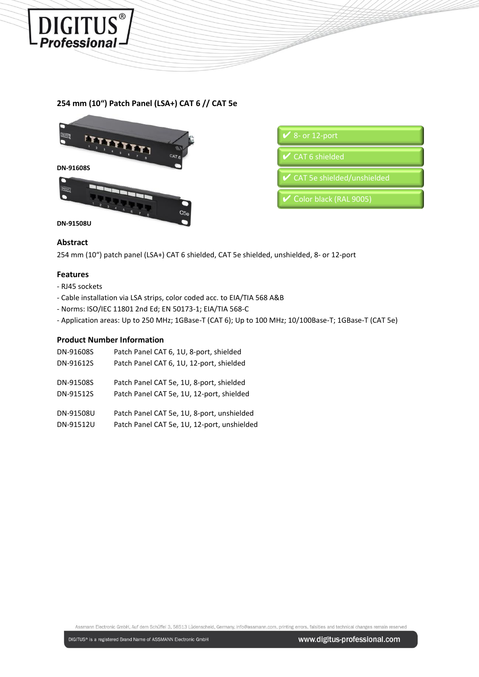

# **254 mm (10") Patch Panel (LSA+) CAT 6 // CAT 5e**



#### **Abstract**

254 mm (10") patch panel (LSA+) CAT 6 shielded, CAT 5e shielded, unshielded, 8- or 12-port

#### **Features**

- RJ45 sockets
- Cable installation via LSA strips, color coded acc. to EIA/TIA 568 A&B
- Norms: ISO/IEC 11801 2nd Ed; EN 50173-1; EIA/TIA 568-C
- Application areas: Up to 250 MHz; 1GBase-T (CAT 6); Up to 100 MHz; 10/100Base-T; 1GBase-T (CAT 5e)

## **Product Number Information**

| DN-91608S | Patch Panel CAT 6, 1U, 8-port, shielded     |
|-----------|---------------------------------------------|
| DN-91612S | Patch Panel CAT 6, 1U, 12-port, shielded    |
| DN-91508S | Patch Panel CAT 5e, 1U, 8-port, shielded    |
| DN-91512S | Patch Panel CAT 5e, 1U, 12-port, shielded   |
| DN-91508U | Patch Panel CAT 5e, 1U, 8-port, unshielded  |
| DN-91512U | Patch Panel CAT 5e, 1U, 12-port, unshielded |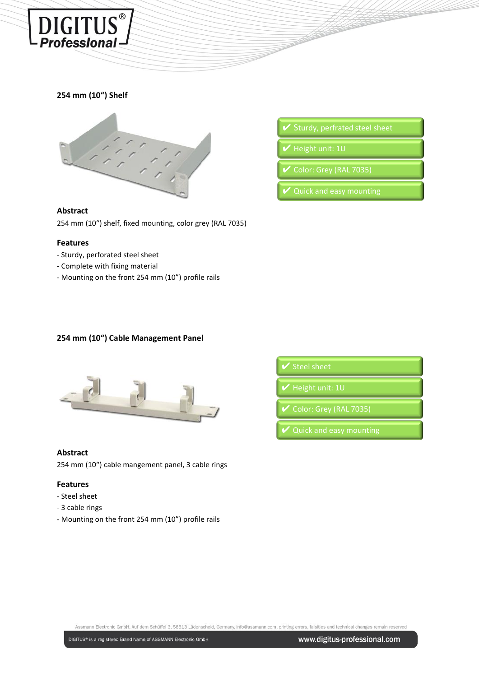

## **254 mm (10") Shelf**



#### **Abstract**

254 mm (10") shelf, fixed mounting, color grey (RAL 7035)

#### **Features**

- Sturdy, perforated steel sheet
- Complete with fixing material
- Mounting on the front 254 mm (10") profile rails
- 
- Height unit: 1U
- Color: Grey (RAL 7035)
- 

# **254 mm (10") Cable Management Panel**



#### **Abstract**

254 mm (10") cable mangement panel, 3 cable rings

#### **Features**

- Steel sheet
- 3 cable rings
- Mounting on the front 254 mm (10") profile rails

Height unit: 1U Color: Grey (RAL 7035)